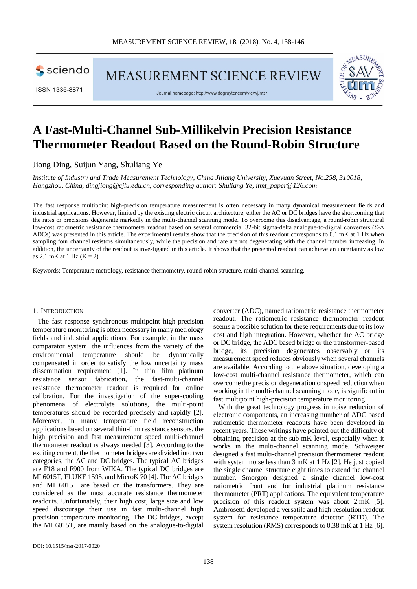sciendo

ISSN 1335-8871

Journal homepage: http://www.degruyter.com/view/j/msr

MEASUREMENT SCIENCE REVIEW



# **A Fast-Multi-Channel Sub-Millikelvin Precision Resistance Thermometer Readout Based on the Round-Robin Structure**

Jiong Ding, Suijun Yang, Shuliang Ye

*Institute of Industry and Trade Measurement Technology, China Jiliang University, Xueyuan Street, No.258, 310018, Hangzhou, China, [dingjiong@cjlu.edu.cn,](mailto:dingjiong@cjlu.edu.cn) corresponding author: Shuliang Ye, itmt\_paper@126.com*

The fast response multipoint high-precision temperature measurement is often necessary in many dynamical measurement fields and industrial applications. However, limited by the existing electric circuit architecture, either the AC or DC bridges have the shortcoming that the rates or precisions degenerate markedly in the multi-channel scanning mode. To overcome this disadvantage, a round-robin structural low-cost ratiometric resistance thermometer readout based on several commercial 32-bit sigma-delta analogue-to-digital converters (Σ-Δ ADCs) was presented in this article. The experimental results show that the precision of this readout corresponds to 0.1 mK at 1 Hz when sampling four channel resistors simultaneously, while the precision and rate are not degenerating with the channel number increasing. In addition, the uncertainty of the readout is investigated in this article. It shows that the presented readout can achieve an uncertainty as low as 2.1 mK at 1 Hz  $(K = 2)$ .

Keywords: Temperature metrology, resistance thermometry, round-robin structure, multi-channel scanning.

### 1. INTRODUCTION

The fast response synchronous multipoint high-precision temperature monitoring is often necessary in many metrology fields and industrial applications. For example, in the mass comparator system, the influences from the variety of the environmental temperature should be dynamically compensated in order to satisfy the low uncertainty mass dissemination requirement [1]. In thin film platinum resistance sensor fabrication, the fast-multi-channel resistance thermometer readout is required for online calibration. For the investigation of the super-cooling phenomena of electrolyte solutions, the multi-point temperatures should be recorded precisely and rapidly [2]. Moreover, in many temperature field reconstruction applications based on several thin-film resistance sensors, the high precision and fast measurement speed multi-channel thermometer readout is always needed [3]. According to the exciting current, the thermometer bridges are divided into two categories, the AC and DC bridges. The typical AC bridges are F18 and F900 from WIKA. The typical DC bridges are MI 6015T, FLUKE 1595, and MicroK 70 [4]. The AC bridges and MI 6015T are based on the transformers. They are considered as the most accurate resistance thermometer readouts. Unfortunately, their high cost, large size and low speed discourage their use in fast multi-channel high precision temperature monitoring. The DC bridges, except the MI 6015T, are mainly based on the analogue-to-digital

converter (ADC), named ratiometric resistance thermometer readout. The ratiometric resistance thermometer readout seems a possible solution for these requirements due to its low cost and high integration. However, whether the AC bridge or DC bridge, the ADC based bridge or the transformer-based bridge, its precision degenerates observably or its measurement speed reduces obviously when several channels are available. According to the above situation, developing a low-cost multi-channel resistance thermometer, which can overcome the precision degeneration or speed reduction when working in the multi-channel scanning mode, is significant in fast multipoint high-precision temperature monitoring.

With the great technology progress in noise reduction of electronic components, an increasing number of ADC based ratiometric thermometer readouts have been developed in recent years. These writings have pointed out the difficulty of obtaining precision at the sub-mK level, especially when it works in the multi-channel scanning mode. Schweiger designed a fast multi-channel precision thermometer readout with system noise less than 3 mK at 1 Hz [2]. He just copied the single channel structure eight times to extend the channel number. Smorgon designed a single channel low-cost ratiometric front end for industrial platinum resistance thermometer (PRT) applications. The equivalent temperature precision of this readout system was about 2 mK [5]. Ambrosetti developed a versatile and high-resolution readout system for resistance temperature detector (RTD). The system resolution (RMS) corresponds to 0.38 mK at 1 Hz [6].

\_\_\_\_\_\_\_\_\_\_\_\_\_\_\_\_\_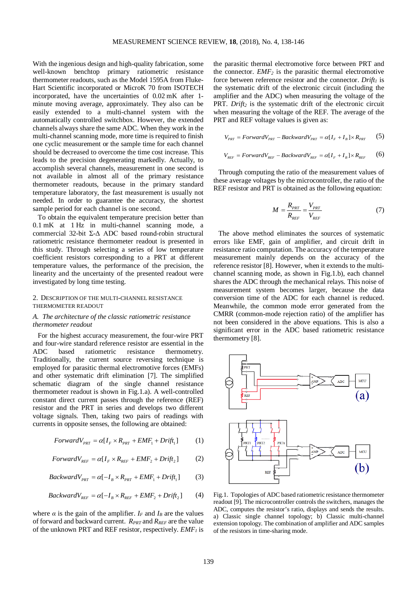With the ingenious design and high-quality fabrication, some well-known benchtop primary ratiometric resistance thermometer readouts, such as the Model 1595A from Fluke-Hart Scientific incorporated or MicroK 70 from ISOTECH incorporated, have the uncertainties of 0.02 mK after 1 minute moving average, approximately. They also can be easily extended to a multi-channel system with the automatically controlled switchbox. However, the extended channels always share the same ADC. When they work in the multi-channel scanning mode, more time is required to finish one cyclic measurement or the sample time for each channel should be decreased to overcome the time cost increase. This leads to the precision degenerating markedly. Actually, to accomplish several channels, measurement in one second is not available in almost all of the primary resistance thermometer readouts, because in the primary standard temperature laboratory, the fast measurement is usually not needed. In order to guarantee the accuracy, the shortest sample period for each channel is one second.

To obtain the equivalent temperature precision better than 0.1 mK at 1 Hz in multi-channel scanning mode, a commercial 32-bit Σ-Δ ADC based round-robin structural ratiometric resistance thermometer readout is presented in this study. Through selecting a series of low temperature coefficient resistors corresponding to a PRT at different temperature values, the performance of the precision, the linearity and the uncertainty of the presented readout were investigated by long time testing.

# 2. DESCRIPTION OF THE MULTI-CHANNEL RESISTANCE THERMOMETER READOUT

# *A. The architecture of the classic ratiometric resistance thermometer readout*

For the highest accuracy measurement, the four-wire PRT and four-wire standard reference resistor are essential in the ADC based ratiometric resistance thermometry. Traditionally, the current source reversing technique is employed for parasitic thermal electromotive forces (EMFs) and other systematic drift elimination [7]. The simplified schematic diagram of the single channel resistance thermometer readout is shown in Fig.1.a). A well-controlled constant direct current passes through the reference (REF) resistor and the PRT in series and develops two different voltage signals. Then, taking two pairs of readings with currents in opposite senses, the following are obtained:

$$
ForwardV_{PRT} = \alpha[I_F \times R_{PRT} + EMF_1 + Drift_1]
$$
 (1)

$$
ForwardV_{REF} = \alpha[I_F \times R_{REF} + EMF_2 + Drift_2]
$$
 (2)

$$
BackwardV_{PRT} = \alpha[-I_B \times R_{PRT} + EMF_1 + Drift_1]
$$
 (3)

$$
BackwardV_{REF} = \alpha[-I_B \times R_{REF} + EMF_2 + Drift_2] \tag{4}
$$

where  $\alpha$  is the gain of the amplifier.  $I_F$  and  $I_B$  are the values of forward and backward current. *R<sub>PRT</sub>* and *R<sub>REF</sub>* are the value of the unknown PRT and REF resistor, respectively. *EMF1* is

the parasitic thermal electromotive force between PRT and the connector.  $EMF_2$  is the parasitic thermal electromotive force between reference resistor and the connector.  $Drift<sub>1</sub>$  is the systematic drift of the electronic circuit (including the amplifier and the ADC) when measuring the voltage of the PRT. Drift<sub>2</sub> is the systematic drift of the electronic circuit when measuring the voltage of the REF*.* The average of the PRT and REF voltage values is given as:

$$
V_{\text{PRT}} = ForwardV_{\text{PRT}} - BackwardV_{\text{PRT}} = \alpha[I_F + I_B] \times R_{\text{PRT}} \tag{5}
$$

$$
V_{REF} = ForwardV_{REF} - BackwardV_{REF} = \alpha[I_F + I_B] \times R_{REF} \tag{6}
$$

Through computing the ratio of the measurement values of these average voltages by the microcontroller, the ratio of the REF resistor and PRT is obtained as the following equation:

$$
M = \frac{R_{PRT}}{R_{REF}} = \frac{V_{PRT}}{V_{REF}} \tag{7}
$$

The above method eliminates the sources of systematic errors like EMF, gain of amplifier, and circuit drift in resistance ratio computation. The accuracy of the temperature measurement mainly depends on the accuracy of the reference resistor [8]. However, when it extends to the multichannel scanning mode, as shown in Fig.1.b), each channel shares the ADC through the mechanical relays. This noise of measurement system becomes larger, because the data conversion time of the ADC for each channel is reduced. Meanwhile, the common mode error generated from the CMRR (common-mode rejection ratio) of the amplifier has not been considered in the above equations. This is also a significant error in the ADC based ratiometric resistance thermometry [8].



Fig.1. Topologies of ADC based ratiometric resistance thermometer readout [9]. The microcontroller controls the switchers, manages the ADC, computes the resistor's ratio, displays and sends the results. a) Classic single channel topology; b) Classic multi-channel extension topology. The combination of amplifier and ADC samples of the resistors in time-sharing mode.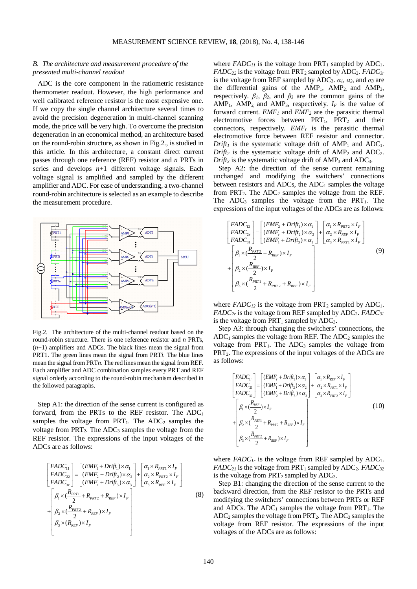# *B. The architecture and measurement procedure of the presented multi-channel readout*

ADC is the core component in the ratiometric resistance thermometer readout. However, the high performance and well calibrated reference resistor is the most expensive one. If we copy the single channel architecture several times to avoid the precision degeneration in multi-channel scanning mode, the price will be very high. To overcome the precision degeneration in an economical method, an architecture based on the round-robin structure, as shown in Fig.2., is studied in this article. In this architecture, a constant direct current passes through one reference (REF) resistor and *n* PRTs in series and develops *n*+1 different voltage signals. Each voltage signal is amplified and sampled by the different amplifier and ADC. For ease of understanding, a two-channel round-robin architecture is selected as an example to describe the measurement procedure.



Fig.2. The architecture of the multi-channel readout based on the round-robin structure. There is one reference resistor and *n* PRTs,  $(n+1)$  amplifiers and ADCs. The black lines mean the signal from PRT1. The green lines mean the signal from PRT*i*. The blue lines mean the signal from PRT*n*. The red lines mean the signal from REF. Each amplifier and ADC combination samples every PRT and REF signal orderly according to the round-robin mechanism described in the followed paragraphs.

Step A1: the direction of the sense current is configured as forward, from the PRTs to the REF resistor. The  $ADC_1$ samples the voltage from  $PRT_1$ . The  $ADC_2$  samples the voltage from  $PRT_2$ . The  $ADC_3$  samples the voltage from the REF resistor. The expressions of the input voltages of the ADCs are as follows:

$$
\begin{bmatrix}\nFADC_{11} \\
FADC_{22} \\
FADC_{3r}\n\end{bmatrix} = \begin{bmatrix}\n(EMF_1 + Drift_1) \times \alpha_1 \\
(EMF_2 + Drift_2) \times \alpha_2 \\
(EMF_r + Drift_3) \times \alpha_3\n\end{bmatrix} + \begin{bmatrix}\n\alpha_1 \times R_{prt1} \times I_F \\
\alpha_2 \times R_{prt2} \times I_F \\
\alpha_3 \times R_{ker} \times I_F\n\end{bmatrix}
$$
\n
$$
+ \begin{bmatrix}\n\beta_1 \times \frac{(R_{prt1}}{2} + R_{prt2} + R_{REF}) \times I_F \\
\beta_2 \times \frac{(R_{prt2}}{2} + R_{REF}) \times I_F \\
\beta_3 \times (R_{REF}) \times I_F\n\end{bmatrix}
$$
\n(8)

where  $FADC_{11}$  is the voltage from  $PRT_1$  sampled by  $ADC_1$ . *FADC*<sub>22</sub> is the voltage from PRT<sub>2</sub> sampled by ADC<sub>2</sub>. *FADC*<sub>3r</sub> is the voltage from REF sampled by ADC<sub>3</sub>.  $\alpha_1$ ,  $\alpha_2$ , and  $\alpha_3$  are the differential gains of the  $AMP_1$ ,  $AMP_2$ , and  $AMP_3$ , respectively.  $\beta_1$ ,  $\beta_2$ , and  $\beta_3$  are the common gains of the AMP<sub>1</sub>, AMP<sub>2</sub> and AMP<sub>3</sub>, respectively.  $I_F$  is the value of forward current. *EMF1* and *EMF2* are the parasitic thermal electromotive forces between  $PRT_1$ ,  $PRT_2$  and their connectors, respectively.  $EMF<sub>r</sub>$  is the parasitic thermal electromotive force between REF resistor and connector. *Drift<sub>1</sub>* is the systematic voltage drift of  $AMP_1$  and  $ADC_1$ . *Drift<sub>2</sub>* is the systematic voltage drift of  $AMP<sub>2</sub>$  and  $ADC<sub>2</sub>$ .  $Drift<sub>3</sub>$  is the systematic voltage drift of  $AMP<sub>3</sub>$  and  $ADC<sub>3</sub>$ .

Step A2: the direction of the sense current remaining unchanged and modifying the switchers' connections between resistors and ADCs, the  $ADC<sub>1</sub>$  samples the voltage from  $PRT_2$ . The  $ADC_2$  samples the voltage from the REF. The  $ADC_3$  samples the voltage from the  $PRT_1$ . The expressions of the input voltages of the ADCs are as follows:

$$
\begin{bmatrix}\nFADC_{12} \\
FADC_{2r} \\
FADC_{31}\n\end{bmatrix} = \begin{bmatrix}\n\text{(EMF}_2 + Drif_1) \times \alpha_1 \\
\text{(EMF}_r + Drif_2) \times \alpha_2 \\
\text{(EMF}_1 + Drif_3) \times \alpha_3\n\end{bmatrix} + \begin{bmatrix}\n\alpha_1 \times R_{prr2} \times I_F \\
\alpha_2 \times R_{ker} \times I_F \\
\alpha_3 \times R_{pr1} \times I_F\n\end{bmatrix}
$$
\n
$$
+ \begin{bmatrix}\n\beta_1 \times (\frac{R_{prr2}}{2} + R_{REF}) \times I_F \\
\beta_2 \times (\frac{R_{REF}}{2}) \times I_F \\
\beta_3 \times (\frac{R_{pRT1}}{2} + R_{pRT2} + R_{REF}) \times I_F\n\end{bmatrix}
$$
\n(9)

where  $FADC_{12}$  is the voltage from  $PRT_2$  sampled by  $ADC_1$ .  $FADC_{2r}$  is the voltage from REF sampled by  $ADC_2$ .  $FADC_{31}$ is the voltage from  $PRT_1$  sampled by  $ADC_3$ .

Step A3: through changing the switchers' connections, the  $ADC<sub>1</sub>$  samples the voltage from REF. The  $ADC<sub>2</sub>$  samples the voltage from  $PRT_1$ . The  $ADC_3$  samples the voltage from PRT<sub>2</sub>. The expressions of the input voltages of the ADCs are as follows:

$$
\begin{bmatrix}\nFADC_{1r} \\
FADC_{21} \\
FADC_{22}\n\end{bmatrix} = \begin{bmatrix}\n(EMF_r + Drif_1) \times \alpha_1 \\
(EMF_1 + Drif_2) \times \alpha_2 \\
(EMF_2 + Drif_3) \times \alpha_3\n\end{bmatrix} + \begin{bmatrix}\n\alpha_1 \times R_{REF} \times I_F \\
\alpha_2 \times R_{PRT1} \times I_F \\
\alpha_3 \times R_{PRT2} \times I_F\n\end{bmatrix}
$$
\n
$$
+ \begin{bmatrix}\n\beta_1 \times \frac{(R_{REF})}{2} \times I_F \\
\beta_2 \times \frac{(R_{PRT1})}{2} + R_{PRT2} + R_{REF} \times I_F \\
\beta_3 \times \frac{(R_{PRT2})}{2} + R_{REF} \times I_F\n\end{bmatrix}
$$
\n(10)

where  $FADC_{1r}$  is the voltage from REF sampled by  $ADC_1$ .  $FADC_{21}$  is the voltage from  $PRT_1$  sampled by  $ADC_2$ .  $FADC_{32}$ is the voltage from  $PRT_2$  sampled by  $ADC_3$ .

Step B1: changing the direction of the sense current to the backward direction, from the REF resistor to the PRTs and modifying the switchers' connections between PRTs or REF and ADCs. The  $ADC_1$  samples the voltage from  $PRT_1$ . The  $ADC_2$  samples the voltage from  $PRT_2$ . The  $ADC_3$  samples the voltage from REF resistor. The expressions of the input voltages of the ADCs are as follows: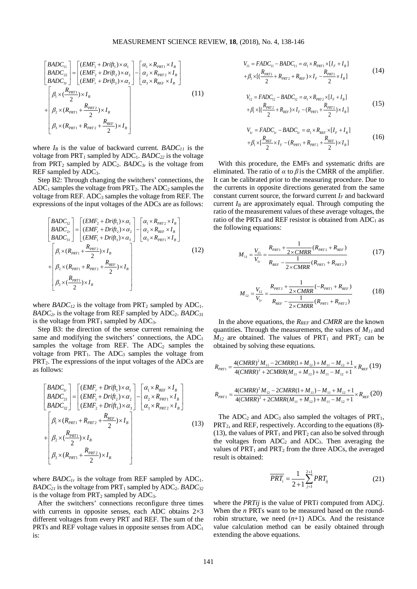$$
\begin{bmatrix}\nBADC_{11} \\
BADC_{22} \\
BADC_{22} \\
BADC_{3r}\n\end{bmatrix} = \begin{bmatrix}\n(EMF_1 + Drift_1) \times \alpha_1 \\
(EMF_2 + Drift_2) \times \alpha_2 \\
(EMF_r + Drift_3) \times \alpha_3\n\end{bmatrix} - \begin{bmatrix}\n\alpha_1 \times R_{PRT1} \times I_B \\
\alpha_2 \times R_{PRT2} \times I_B \\
\alpha_3 \times R_{REF} \times I_B\n\end{bmatrix}
$$
\n
$$
+ \begin{bmatrix}\n\beta_1 \times \left(\frac{R_{PRT1}}{2}\right) \times I_B \\
\beta_2 \times \left(R_{PRT1} + \frac{R_{PRT2}}{2}\right) \times I_B \\
\beta_3 \times \left(R_{PRT1} + R_{PRT2} + \frac{R_{REF}}{2}\right) \times I_B\n\end{bmatrix}
$$
\n(11)

where  $I_B$  is the value of backward current.  $BADC_{11}$  is the voltage from PRT<sub>1</sub> sampled by ADC<sub>1</sub>. *BADC*<sub>22</sub> is the voltage from PRT2 sampled by ADC2. *BADC3r* is the voltage from REF sampled by ADC3.

Step B2: Through changing the switchers' connections, the  $ADC<sub>1</sub>$  samples the voltage from PRT<sub>2</sub>. The ADC<sub>2</sub> samples the voltage from REF. ADC<sub>3</sub> samples the voltage from REF. The expressions of the input voltages of the ADCs are as follows:

$$
\begin{bmatrix}\nBADC_{12} \\
BADC_{2r} \\
BADC_{31}\n\end{bmatrix} = \begin{bmatrix}\n\text{(EMF}_2 + \text{Drift}_1) \times \alpha_1 \\
(\text{EMF}_r + \text{Drift}_2) \times \alpha_2 \\
(\text{EMF}_r + \text{Drift}_3) \times \alpha_3\n\end{bmatrix} - \begin{bmatrix}\n\alpha_1 \times R_{\text{PRT2}} \times I_B \\
\alpha_2 \times R_{\text{REF}} \times I_B \\
\alpha_3 \times R_{\text{PRT1}} \times I_B\n\end{bmatrix}
$$
\n
$$
+ \begin{bmatrix}\n\beta_1 \times (R_{\text{PRT1}} + \frac{R_{\text{PRT2}}}{2}) \times I_B \\
\beta_2 \times (R_{\text{PRT1}} + R_{\text{PRT2}} + \frac{R_{\text{REF}}}{2}) \times I_B \\
\beta_3 \times (\frac{R_{\text{PRT1}}}{2}) \times I_B\n\end{bmatrix}
$$
\n(12)

where  $BADC_{12}$  is the voltage from  $PRT_2$  sampled by  $ADC_1$ .  $BADC_{2r}$  is the voltage from REF sampled by  $ADC_{2r}$ . *BADC<sub>31</sub>* is the voltage from  $PRT_1$  sampled by  $ADC_3$ .

Step B3: the direction of the sense current remaining the same and modifying the switchers' connections, the  $ADC<sub>1</sub>$ samples the voltage from REF. The  $ADC_2$  samples the voltage from  $PRT_1$ . The  $ADC_3$  samples the voltage from PRT<sub>2</sub>. The expressions of the input voltages of the ADCs are as follows:

$$
\begin{bmatrix}\nBADC_{1r} \\
BADC_{11} \\
BADC_{21} \\
BADC_{32}\n\end{bmatrix} = \begin{bmatrix}\n\text{(EMF}_r + Drift_1) \times \alpha_1 \\
\text{(EMF}_1 + Drift_2) \times \alpha_2 \\
\text{(EMF}_2 + Drift_3) \times \alpha_3\n\end{bmatrix} - \begin{bmatrix}\n\alpha_1 \times R_{REF} \times I_B \\
\alpha_2 \times R_{ERT1} \times I_B \\
\alpha_3 \times R_{ERT2} \times I_B\n\end{bmatrix}
$$
\n
$$
+ \begin{bmatrix}\n\beta_1 \times (R_{ERT1} + R_{PRT2} + \frac{R_{REF}}{2}) \times I_B \\
\beta_2 \times (\frac{R_{PRT1}}{2}) \times I_B \\
\beta_3 \times (R_{PRT1} + \frac{R_{PRT2}}{2}) \times I_B\n\end{bmatrix}
$$
\n(13)

where  $BADC_{1r}$  is the voltage from REF sampled by  $ADC_1$ . *BADC*<sub>21</sub> is the voltage from PRT<sub>1</sub> sampled by ADC<sub>2</sub>. *BADC*<sub>32</sub> is the voltage from  $PRT_2$  sampled by  $ADC_3$ .

After the switchers' connections reconfigure three times with currents in opposite senses, each ADC obtains  $2\times3$ different voltages from every PRT and REF. The sum of the PRTs and REF voltage values in opposite senses from ADC<sub>1</sub> is:

$$
V_{11} = FADC_{11} - BADC_{11} = \alpha_1 \times R_{PRT1} \times [I_F + I_B]
$$
  
+  $\beta_1 \times [(\frac{R_{PRT1}}{2} + R_{PRT2} + R_{REF}) \times I_F - \frac{R_{PRT1}}{2} \times I_B]$  (14)

$$
V_{12} = FADC_{12} - BADC_{12} = \alpha_1 \times R_{PRT2} \times [I_F + I_B]
$$
  
+  $\beta_1 \times [(\frac{R_{PRT2}}{2} + R_{REF}) \times I_F - (R_{PRT1} + \frac{R_{PRT2}}{2}) \times I_B]$  (15)

$$
V_{1r} = FADC_{1r} - BADC_{1r} = \alpha_1 \times R_{REF} \times [I_F + I_B]
$$
  
+  $\beta_1 \times [\frac{R_{REF}}{2} \times I_F - (R_{PRT1} + R_{PRT2} + \frac{R_{REF}}{2}) \times I_B]$  (16)

With this procedure, the EMFs and systematic drifts are eliminated. The ratio of  $\alpha$  to  $\beta$  is the CMRR of the amplifier. It can be calibrated prior to the measuring procedure. Due to the currents in opposite directions generated from the same constant current source, the forward current *IF* and backward current  $I_B$  are approximately equal. Through computing the ratio of the measurement values of these average voltages, the ratio of the PRTs and REF resistor is obtained from  $ADC<sub>1</sub>$  as the following equations:

$$
M_{11} = \frac{V_{11}}{V_{1r}} = \frac{R_{pRT1} + \frac{1}{2 \times CMRR}(R_{pRT2} + R_{REF})}{R_{REF} - \frac{1}{2 \times CMRR}(R_{pRT1} + R_{pRT2})}
$$
(17)

$$
M_{12} = \frac{V_{12}}{V_{1r}} = \frac{R_{PRT2} + \frac{1}{2 \times CMRR}(-R_{PRT1} + R_{REF})}{R_{REF} - \frac{1}{2 \times CMRR}(R_{PRT1} + R_{PRT2})}
$$
(18)

In the above equations, the *RREF* and *CMRR* are the known quantities. Through the measurements, the values of *M11* and  $M_{12}$  are obtained. The values of PRT<sub>1</sub> and PRT<sub>2</sub> can be obtained by solving these equations.

$$
R_{pRT1} = \frac{4(CMRR)^2 M_{11} - 2CMRR(1 + M_{12}) + M_{11} - M_{12} + 1}{4(CMRR)^2 + 2CMRR(M_{11} + M_{12}) + M_{11} - M_{12} + 1} \times R_{REF} (19)
$$

$$
R_{p_{RT2}} = \frac{4(CMRR)^2 M_{12} - 2CMRR(1 + M_{11}) - M_{11} + M_{12} + 1}{4(CMRR)^2 + 2CMRR(M_{11} + M_{12}) + M_{11} - M_{12} + 1} \times R_{REF} (20)
$$

The  $ADC_2$  and  $ADC_3$  also sampled the voltages of  $PRT_1$ ,  $PRT<sub>2</sub>$ , and REF, respectively. According to the equations (8)-(13), the values of  $PRT_1$  and  $PRT_2$  can also be solved through the voltages from  $ADC_2$  and  $ADC_3$ . Then averaging the values of  $PRT_1$  and  $PRT_2$  from the three ADCs, the averaged result is obtained:

$$
\overline{PRT_i} = \frac{1}{2+1} \sum_{j=1}^{2+1} PRT_{ij}
$$
 (21)

where the *PRTij* is the value of PRT*i* computed from ADC*j*. When the *n* PRTs want to be measured based on the roundrobin structure, we need  $(n+1)$  ADCs. And the resistance value calculation method can be easily obtained through extending the above equations.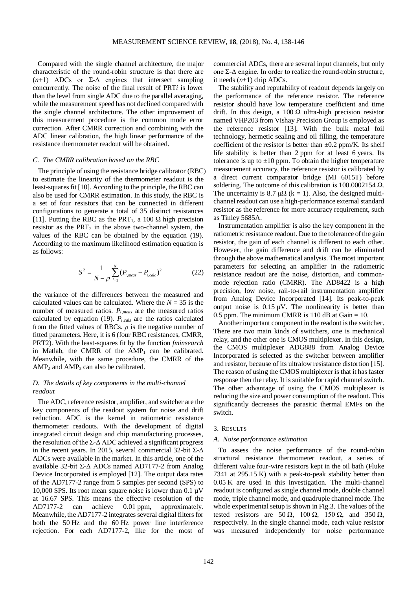Compared with the single channel architecture, the major characteristic of the round-robin structure is that there are  $(n+1)$  ADCs or  $\Sigma$ - $\Delta$  engines that intersect sampling concurrently. The noise of the final result of PRT*i* is lower than the level from single ADC due to the parallel averaging, while the measurement speed has not declined compared with the single channel architecture. The other improvement of this measurement procedure is the common mode error correction. After CMRR correction and combining with the ADC linear calibration, the high linear performance of the resistance thermometer readout will be obtained.

#### *C. The CMRR calibration based on the RBC*

The principle of using the resistance bridge calibrator (RBC) to estimate the linearity of the thermometer readout is the least-squares fit [10]. According to the principle, the RBC can also be used for CMRR estimation. In this study, the RBC is a set of four resistors that can be connected in different configurations to generate a total of 35 distinct resistances [11]. Putting the RBC as the PRT<sub>1</sub>, a 100  $\Omega$  high precision resistor as the  $PRT_2$  in the above two-channel system, the values of the RBC can be obtained by the equation (19). According to the maximum likelihood estimation equation is as follows:

$$
S^{2} = \frac{1}{N - \rho} \sum_{i=1}^{N} (P_{i,meas} - P_{i,calc})^{2}
$$
 (22)

the variance of the differences between the measured and calculated values can be calculated. Where the  $N = 35$  is the number of measured ratios. *Pi,meas* are the measured ratios calculated by equation (19). *Pi,cals* are the ratios calculated from the fitted values of RBCs. *ρ* is the negative number of fitted parameters. Here, it is 6 (four RBC resistances, CMRR, PRT2). With the least-squares fit by the function *fminsearch* in Matlab, the CMRR of the  $AMP_1$  can be calibrated. Meanwhile, with the same procedure, the CMRR of the  $AMP<sub>2</sub>$  and  $AMP<sub>3</sub>$  can also be calibrated.

# *D. The details of key components in the multi-channel readout*

The ADC, reference resistor, amplifier, and switcher are the key components of the readout system for noise and drift reduction. ADC is the kernel in ratiometric resistance thermometer readouts. With the development of digital integrated circuit design and chip manufacturing processes, the resolution of the  $\Sigma$ - $\Delta$  ADC achieved a significant progress in the recent years. In 2015, several commercial 32-bit  $\Sigma$ - $\Delta$ ADCs were available in the market. In this article, one of the available 32-bit Σ-Δ ADCs named AD7177-2 from Analog Device Incorporated is employed [12]. The output data rates of the AD7177-2 range from 5 samples per second (SPS) to 10,000 SPS. Its root mean square noise is lower than  $0.1 \mu V$ at 16.67 SPS. This means the effective resolution of the AD7177-2 can achieve 0.01 ppm, approximately. Meanwhile, the AD7177-2 integrates several digital filters for both the 50 Hz and the 60 Hz power line interference rejection. For each AD7177-2, like for the most of commercial ADCs, there are several input channels, but only one Σ-Δ engine. In order to realize the round-robin structure, it needs  $(n+1)$  chip ADCs.

The stability and reputability of readout depends largely on the performance of the reference resistor. The reference resistor should have low temperature coefficient and time drift. In this design, a  $100 \Omega$  ultra-high precision resistor named VHP203 from Vishay Precision Group is employed as the reference resistor [13]. With the bulk metal foil technology, hermetic sealing and oil filling, the temperature coefficient of the resistor is better than  $\pm 0.2$  ppm/K. Its shelf life stability is better than 2 ppm for at least 6 years. Its tolerance is up to  $\pm 10$  ppm. To obtain the higher temperature measurement accuracy, the reference resistor is calibrated by a direct current comparator bridge (MI 6015T) before soldering. The outcome of this calibration is  $100.0002154 \Omega$ . The uncertainty is 8.7  $\mu\Omega$  (k = 1). Also, the designed multichannel readout can use a high-performance external standard resistor as the reference for more accuracy requirement, such as Tinley 5685A.

Instrumentation amplifier is also the key component in the ratiometric resistance readout. Due to the tolerance of the gain resistor, the gain of each channel is different to each other. However, the gain difference and drift can be eliminated through the above mathematical analysis. The most important parameters for selecting an amplifier in the ratiometric resistance readout are the noise, distortion, and commonmode rejection ratio (CMRR). The AD8422 is a high precision, low noise, rail-to-rail instrumentation amplifier from Analog Device Incorporated [14]. Its peak-to-peak output noise is  $0.15 \mu V$ . The nonlinearity is better than 0.5 ppm. The minimum CMRR is 110 dB at Gain  $= 10$ .

Another important component in the readout is the switcher. There are two main kinds of switchers, one is mechanical relay, and the other one is CMOS multiplexer. In this design, the CMOS multiplexer ADG888 from Analog Device Incorporated is selected as the switcher between amplifier and resistor, because of its ultralow resistance distortion [15]. The reason of using the CMOS multiplexer is that it has faster response then the relay. It is suitable for rapid channel switch. The other advantage of using the CMOS multiplexer is reducing the size and power consumption of the readout. This significantly decreases the parasitic thermal EMFs on the switch.

#### 3. RESULTS

#### *A. Noise performance estimation*

To assess the noise performance of the round-robin structural resistance thermometer readout, a series of different value four-wire resistors kept in the oil bath (Fluke 7341 at 295.15 K) with a peak-to-peak stability better than 0.05 K are used in this investigation. The multi-channel readout is configured as single channel mode, double channel mode, triple channel mode, and quadruple channel mode. The whole experimental setup is shown in Fig.3. The values of the tested resistors are  $50 \Omega$ ,  $100 \Omega$ ,  $150 \Omega$ , and  $350 \Omega$ , respectively. In the single channel mode, each value resistor was measured independently for noise performance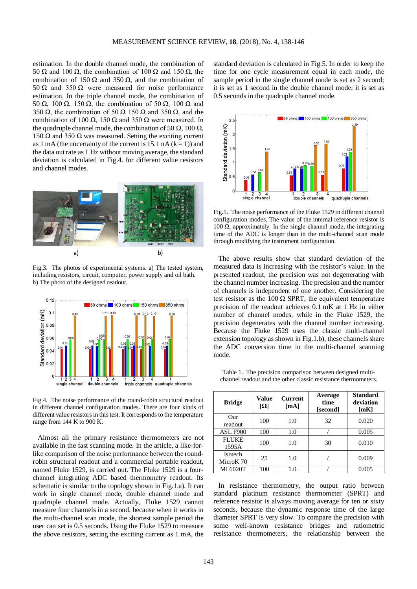estimation. In the double channel mode, the combination of 50 Ω and 100 Ω, the combination of 100 Ω and 150 Ω, the combination of 150  $\Omega$  and 350  $\Omega$ , and the combination of 50 Ω and 350 Ω were measured for noise performance estimation. In the triple channel mode, the combination of 50 Ω, 100 Ω, 150 Ω, the combination of 50 Ω, 100 Ω and 350  $\Omega$ , the combination of 50  $\Omega$  150  $\Omega$  and 350  $\Omega$ , and the combination of 100  $\Omega$ , 150  $\Omega$  and 350  $\Omega$  were measured. In the quadruple channel mode, the combination of 50  $\Omega$ , 100  $\Omega$ , 150 Ω and 350 Ω was measured. Setting the exciting current as 1 mA (the uncertainty of the current is 15.1 nA  $(k = 1)$ ) and the data out rate as 1 Hz without moving average, the standard deviation is calculated in Fig.4. for different value resistors and channel modes.



Fig.3. The photos of experimental systems. a) The tested system, including resistors, circuit, computer, power supply and oil bath. b) The photo of the designed readout.



Fig.4. The noise performance of the round-robin structural readout in different channel configuration modes. There are four kinds of different value resistors in this test. It corresponds to the temperature range from 144 K to 900 K.

Almost all the primary resistance thermometers are not available in the fast scanning mode. In the article, a like-forlike comparison of the noise performance between the roundrobin structural readout and a commercial portable readout, named Fluke 1529, is carried out. The Fluke 1529 is a fourchannel integrating ADC based thermometry readout. Its schematic is similar to the topology shown in Fig.1.a). It can work in single channel mode, double channel mode and quadruple channel mode. Actually, Fluke 1529 cannot measure four channels in a second, because when it works in the multi-channel scan mode, the shortest sample period the user can set is 0.5 seconds. Using the Fluke 1529 to measure the above resistors, setting the exciting current as 1 mA, the standard deviation is calculated in Fig.5. In order to keep the time for one cycle measurement equal in each mode, the sample period in the single channel mode is set as 2 second; it is set as 1 second in the double channel mode; it is set as 0.5 seconds in the quadruple channel mode.



Fig.5. The noise performance of the Fluke 1529 in different channel configuration modes. The value of the internal reference resistor is  $100 \tilde{\Omega}$ , approximately. In the single channel mode, the integrating time of the ADC is longer than in the multi-channel scan mode through modifying the instrument configuration.

The above results show that standard deviation of the measured data is increasing with the resistor's value. In the presented readout, the precision was not degenerating with the channel number increasing. The precision and the number of channels is independent of one another. Considering the test resistor as the 100  $\Omega$  SPRT, the equivalent temperature precision of the readout achieves 0.1 mK at 1 Hz in either number of channel modes, while in the Fluke 1529, the precision degenerates with the channel number increasing. Because the Fluke 1529 uses the classic multi-channel extension topology as shown in Fig.1.b), these channels share the ADC conversion time in the multi-channel scanning mode.

Table 1. The precision comparison between designed multichannel readout and the other classic resistance thermometers.

| <b>Bridge</b>               | Value<br>$[\Omega]$ | <b>Current</b><br>[mA] | Average<br>time<br>[second] | <b>Standard</b><br>deviation<br>[mK] |
|-----------------------------|---------------------|------------------------|-----------------------------|--------------------------------------|
| Our<br>readout              | 100                 | 1.0                    | 32                          | 0.020                                |
| ASL F900                    | 100                 | 1.0                    |                             | 0.005                                |
| <b>FLUKE</b><br>1595A       | 100                 | 1.0                    | 30                          | 0.010                                |
| <b>Isotech</b><br>MicroK 70 | 25                  | 1.0                    |                             | 0.009                                |
| MI 6020T                    | 100                 | 1.0                    |                             | 0.005                                |

In resistance thermometry, the output ratio between standard platinum resistance thermometer (SPRT) and reference resistor is always moving average for ten or sixty seconds, because the dynamic response time of the large diameter SPRT is very slow. To compare the precision with some well-known resistance bridges and ratiometric resistance thermometers, the relationship between the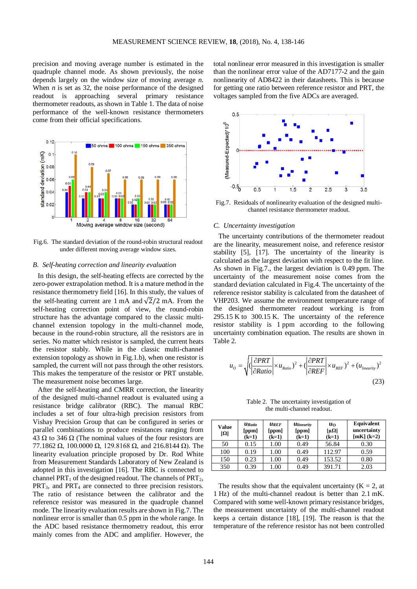precision and moving average number is estimated in the quadruple channel mode. As shown previously, the noise depends largely on the window size of moving average *n*. When *n* is set as 32, the noise performance of the designed readout is approaching several primary resistance thermometer readouts, as shown in Table 1. The data of noise performance of the well-known resistance thermometers come from their official specifications.



Fig.6. The standard deviation of the round-robin structural readout under different moving average window sizes.

# *B. Self-heating correction and linearity evaluation*

In this design, the self-heating effects are corrected by the zero-power extrapolation method. It is a mature method in the resistance thermometry field [16]. In this study, the values of the self-heating current are 1 mA and  $\sqrt{2}/2$  mA. From the self-heating correction point of view, the round-robin structure has the advantage compared to the classic multichannel extension topology in the multi-channel mode, because in the round-robin structure, all the resistors are in series. No matter which resistor is sampled, the current heats the resistor stably. While in the classic multi-channel extension topology as shown in Fig.1.b), when one resistor is sampled, the current will not pass through the other resistors. This makes the temperature of the resistor or PRT unstable. The measurement noise becomes large.

After the self-heating and CMRR correction, the linearity of the designed multi-channel readout is evaluated using a resistance bridge calibrator (RBC). The manual RBC includes a set of four ultra-high precision resistors from Vishay Precision Group that can be configured in series or parallel combinations to produce resistances ranging from 43 Ω to 346 Ω (The nominal values of the four resistors are 77.1862 Ω, 100.0000 Ω, 129.8168 Ω, and 216.8144 Ω). The linearity evaluation principle proposed by Dr. Rod White from Measurement Standards Laboratory of New Zealand is adopted in this investigation [16]. The RBC is connected to channel PRT<sub>1</sub> of the designed readout. The channels of  $PRT<sub>2</sub>$ ,  $PRT<sub>3</sub>$ , and  $PRT<sub>4</sub>$  are connected to three precision resistors. The ratio of resistance between the calibrator and the reference resistor was measured in the quadruple channel mode. The linearity evaluation results are shown in Fig.7. The nonlinear error is smaller than 0.5 ppm in the whole range. In the ADC based resistance thermometry readout, this error mainly comes from the ADC and amplifier. However, the total nonlinear error measured in this investigation is smaller than the nonlinear error value of the AD7177-2 and the gain nonlinearity of AD8422 in their datasheets. This is because for getting one ratio between reference resistor and PRT, the voltages sampled from the five ADCs are averaged.



Fig.7. Residuals of nonlinearity evaluation of the designed multichannel resistance thermometer readout.

#### *C. Uncertainty investigation*

The uncertainty contributions of the thermometer readout are the linearity, measurement noise, and reference resistor stability [5], [17]. The uncertainty of the linearity is calculated as the largest deviation with respect to the fit line. As shown in Fig.7., the largest deviation is 0.49 ppm. The uncertainty of the measurement noise comes from the standard deviation calculated in Fig.4. The uncertainty of the reference resistor stability is calculated from the datasheet of VHP203. We assume the environment temperature range of the designed thermometer readout working is from 295.15 K to 300.15 K. The uncertainty of the reference resistor stability is 1 ppm according to the following uncertainty combination equation. The results are shown in Table 2.

$$
u_{o} = \sqrt{\left(\left|\frac{\partial PRT}{\partial Ratio}\right| \times u_{Ratio}\right)^{2} + \left(\left|\frac{\partial PRT}{\partial REF}\right| \times u_{REF}\right)^{2} + \left(u_{linearity}\right)^{2}}
$$
\n(23)

Table 2. The uncertainty investigation of the multi-channel readout.

| Value<br>$ \Omega $ | <b>U</b> Ratio<br>[ppm]<br>$(k=1)$ | <b>UREF</b><br>[ppm]<br>$(k=1)$ | <i><u><b>Ulinearity</b></u></i><br>[ppm]<br>$(k=1)$ | $u_0$<br>$[\mu\Omega]$<br>$(k=1)$ | Equivalent<br>uncertainty<br>$[mK](k=2)$ |
|---------------------|------------------------------------|---------------------------------|-----------------------------------------------------|-----------------------------------|------------------------------------------|
| 50                  | 0.15                               | 1.00                            | 0.49                                                | 56.84                             | 0.30                                     |
| 100                 | 0.19                               | 1.00                            | 0.49                                                | 112.97                            | 0.59                                     |
| 150                 | 0.23                               | 1.00                            | 0.49                                                | 153.52                            | 0.80                                     |
| 350                 | 0.39                               | .00                             | 0.49                                                | 391.71                            | 2.03                                     |

The results show that the equivalent uncertainty  $(K = 2, at)$ 1 Hz) of the multi-channel readout is better than 2.1 mK. Compared with some well-known primary resistance bridges, the measurement uncertainty of the multi-channel readout keeps a certain distance [18], [19]. The reason is that the temperature of the reference resistor has not been controlled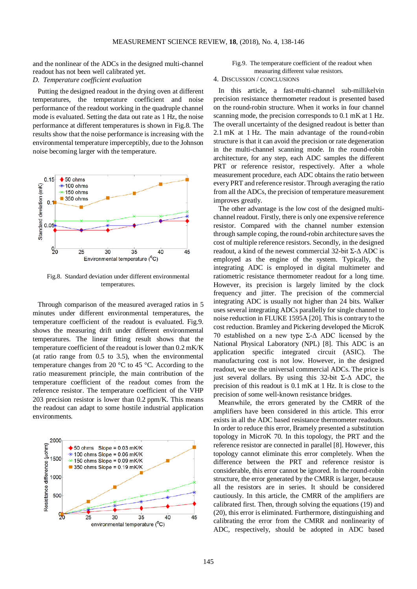and the nonlinear of the ADCs in the designed multi-channel readout has not been well calibrated yet.

# *D. Temperature coefficient evaluation*

Putting the designed readout in the drying oven at different temperatures, the temperature coefficient and noise performance of the readout working in the quadruple channel mode is evaluated. Setting the data out rate as 1 Hz, the noise performance at different temperatures is shown in Fig.8. The results show that the noise performance is increasing with the environmental temperature imperceptibly, due to the Johnson noise becoming larger with the temperature.



Fig.8. Standard deviation under different environmental temperatures.

Through comparison of the measured averaged ratios in 5 minutes under different environmental temperatures, the temperature coefficient of the readout is evaluated. Fig.9. shows the measuring drift under different environmental temperatures. The linear fitting result shows that the temperature coefficient of the readout is lower than 0.2 mK/K (at ratio range from 0.5 to 3.5), when the environmental temperature changes from 20 °C to 45 °C. According to the ratio measurement principle, the main contribution of the temperature coefficient of the readout comes from the reference resistor. The temperature coefficient of the VHP 203 precision resistor is lower than 0.2 ppm/K. This means the readout can adapt to some hostile industrial application environments.



# Fig.9. The temperature coefficient of the readout when measuring different value resistors.

# 4. DISCUSSION / CONCLUSIONS

In this article, a fast-multi-channel sub-millikelvin precision resistance thermometer readout is presented based on the round-robin structure. When it works in four channel scanning mode, the precision corresponds to 0.1 mK at 1 Hz. The overall uncertainty of the designed readout is better than 2.1 mK at 1 Hz. The main advantage of the round-robin structure is that it can avoid the precision or rate degeneration in the multi-channel scanning mode. In the round-robin architecture, for any step, each ADC samples the different PRT or reference resistor, respectively. After a whole measurement procedure, each ADC obtains the ratio between every PRT and reference resistor. Through averaging the ratio from all the ADCs, the precision of temperature measurement improves greatly.

The other advantage is the low cost of the designed multichannel readout. Firstly, there is only one expensive reference resistor. Compared with the channel number extension through sample coping, the round-robin architecture saves the cost of multiple reference resistors. Secondly, in the designed readout, a kind of the newest commercial 32-bit Σ-Δ ADC is employed as the engine of the system. Typically, the integrating ADC is employed in digital multimeter and ratiometric resistance thermometer readout for a long time. However, its precision is largely limited by the clock frequency and jitter. The precision of the commercial integrating ADC is usually not higher than 24 bits. Walker uses several integrating ADCs parallelly for single channel to noise reduction in FLUKE 1595A [20]. This is contrary to the cost reduction. Bramley and Pickering developed the MicroK 70 established on a new type Σ-Δ ADC licensed by the National Physical Laboratory (NPL) [8]. This ADC is an application specific integrated circuit (ASIC). The manufacturing cost is not low. However, in the designed readout, we use the universal commercial ADCs. The price is just several dollars. By using this 32-bit Σ-Δ ADC, the precision of this readout is 0.1 mK at 1 Hz. It is close to the precision of some well-known resistance bridges.

Meanwhile, the errors generated by the CMRR of the amplifiers have been considered in this article. This error exists in all the ADC based resistance thermometer readouts. In order to reduce this error, Bramely presented a substitution topology in MicroK 70. In this topology, the PRT and the reference resistor are connected in parallel [8]. However, this topology cannot eliminate this error completely. When the difference between the PRT and reference resistor is considerable, this error cannot be ignored. In the round-robin structure, the error generated by the CMRR is larger, because all the resistors are in series. It should be considered cautiously. In this article, the CMRR of the amplifiers are calibrated first. Then, through solving the equations (19) and (20), this error is eliminated. Furthermore, distinguishing and calibrating the error from the CMRR and nonlinearity of ADC, respectively, should be adopted in ADC based